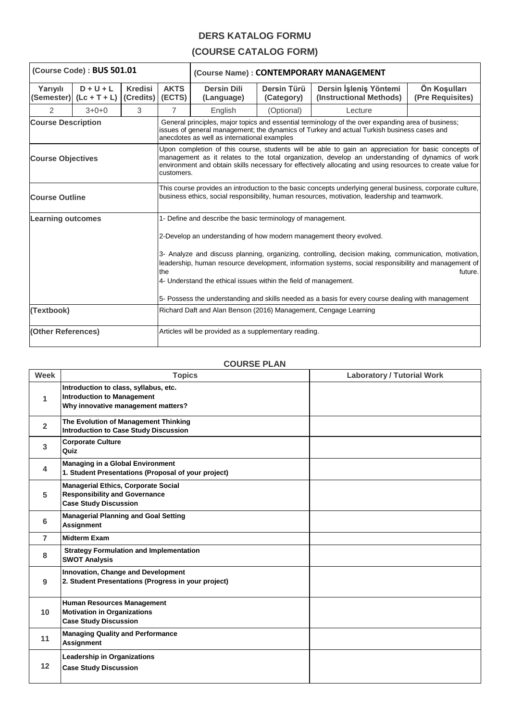## **DERS KATALOG FORMU**

## **(COURSE CATALOG FORM)**

| (Course Code) : BUS 501.01 |                                          |                                    |                                                                                                                                                                                                                                                                                                                                                                                                                                                                                                                                                 | (Course Name): CONTEMPORARY MANAGEMENT                           |                           |                                                   |                                  |  |
|----------------------------|------------------------------------------|------------------------------------|-------------------------------------------------------------------------------------------------------------------------------------------------------------------------------------------------------------------------------------------------------------------------------------------------------------------------------------------------------------------------------------------------------------------------------------------------------------------------------------------------------------------------------------------------|------------------------------------------------------------------|---------------------------|---------------------------------------------------|----------------------------------|--|
| Yarıyılı                   | $D + U + L$<br>(Semester) $(Lc + T + L)$ | <b>Kredisi</b><br>(Credits) (ECTS) | <b>AKTS</b>                                                                                                                                                                                                                                                                                                                                                                                                                                                                                                                                     | <b>Dersin Dili</b><br>(Language)                                 | Dersin Türü<br>(Category) | Dersin İşleniş Yöntemi<br>(Instructional Methods) | Ön Koşulları<br>(Pre Requisites) |  |
| $\mathcal{P}$              | $3+0+0$                                  | 3                                  | $\overline{7}$                                                                                                                                                                                                                                                                                                                                                                                                                                                                                                                                  | English                                                          | (Optional)                | Lecture                                           |                                  |  |
| <b>Course Description</b>  |                                          |                                    | General principles, major topics and essential terminology of the over expanding area of business;<br>issues of general management; the dynamics of Turkey and actual Turkish business cases and<br>anecdotes as well as international examples                                                                                                                                                                                                                                                                                                 |                                                                  |                           |                                                   |                                  |  |
| <b>Course Objectives</b>   |                                          |                                    | Upon completion of this course, students will be able to gain an appreciation for basic concepts of<br>management as it relates to the total organization, develop an understanding of dynamics of work<br>environment and obtain skills necessary for effectively allocating and using resources to create value for<br>customers.                                                                                                                                                                                                             |                                                                  |                           |                                                   |                                  |  |
| <b>Course Outline</b>      |                                          |                                    | This course provides an introduction to the basic concepts underlying general business, corporate culture,<br>business ethics, social responsibility, human resources, motivation, leadership and teamwork.                                                                                                                                                                                                                                                                                                                                     |                                                                  |                           |                                                   |                                  |  |
| <b>Learning outcomes</b>   |                                          |                                    | 1- Define and describe the basic terminology of management.<br>2-Develop an understanding of how modern management theory evolved.<br>3- Analyze and discuss planning, organizing, controlling, decision making, communication, motivation,<br>leadership, human resource development, information systems, social responsibility and management of<br>the<br>future.<br>4- Understand the ethical issues within the field of management.<br>5- Possess the understanding and skills needed as a basis for every course dealing with management |                                                                  |                           |                                                   |                                  |  |
| (Textbook)                 |                                          |                                    |                                                                                                                                                                                                                                                                                                                                                                                                                                                                                                                                                 | Richard Daft and Alan Benson (2016) Management, Cengage Learning |                           |                                                   |                                  |  |
| (Other References)         |                                          |                                    | Articles will be provided as a supplementary reading.                                                                                                                                                                                                                                                                                                                                                                                                                                                                                           |                                                                  |                           |                                                   |                                  |  |

## **COURSE PLAN**

 $\overline{\phantom{a}}$ 

| Week           | <b>Topics</b>                                                                                                      | <b>Laboratory / Tutorial Work</b> |
|----------------|--------------------------------------------------------------------------------------------------------------------|-----------------------------------|
| $\mathbf{1}$   | Introduction to class, syllabus, etc.<br><b>Introduction to Management</b><br>Why innovative management matters?   |                                   |
| $\overline{2}$ | The Evolution of Management Thinking<br><b>Introduction to Case Study Discussion</b>                               |                                   |
| 3              | <b>Corporate Culture</b><br>Quiz                                                                                   |                                   |
| 4              | <b>Managing in a Global Environment</b><br>1. Student Presentations (Proposal of your project)                     |                                   |
| 5              | <b>Managerial Ethics, Corporate Social</b><br><b>Responsibility and Governance</b><br><b>Case Study Discussion</b> |                                   |
| 6              | <b>Managerial Planning and Goal Setting</b><br>Assignment                                                          |                                   |
| $\overline{7}$ | <b>Midterm Exam</b>                                                                                                |                                   |
| 8              | <b>Strategy Formulation and Implementation</b><br><b>SWOT Analysis</b>                                             |                                   |
| 9              | Innovation, Change and Development<br>2. Student Presentations (Progress in your project)                          |                                   |
| 10             | <b>Human Resources Management</b><br><b>Motivation in Organizations</b><br><b>Case Study Discussion</b>            |                                   |
| 11             | <b>Managing Quality and Performance</b><br><b>Assignment</b>                                                       |                                   |
| 12             | <b>Leadership in Organizations</b><br><b>Case Study Discussion</b>                                                 |                                   |